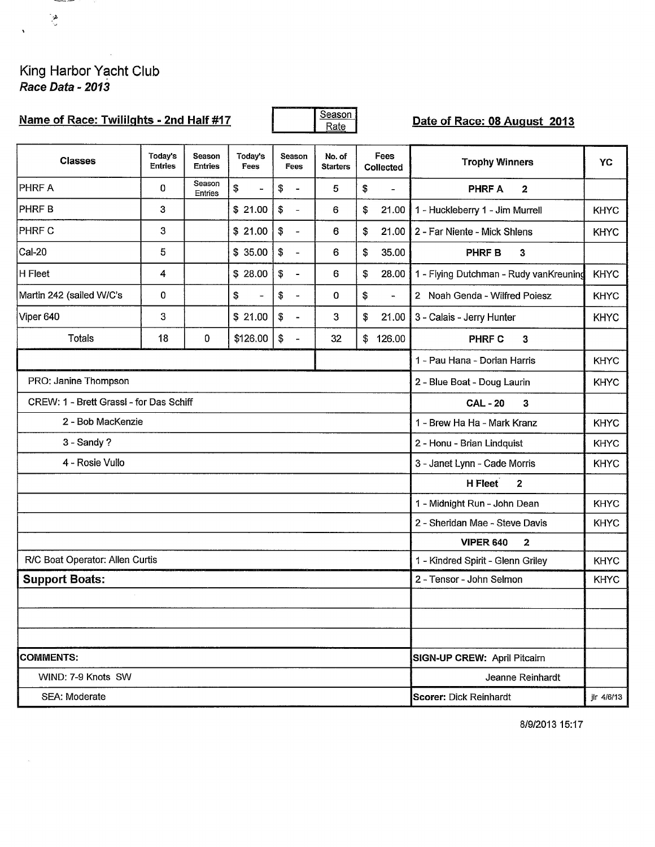## King Harbor Yacht Club<br>*Race Data - 2013*

 $\alpha$ 

| Name of Race: Twililghts - 2nd Half #17 |                           |                                            |                                   |                                        | Season<br>Rate            |                          |                              | Date of Race: 08 August 2013           |             |  |  |
|-----------------------------------------|---------------------------|--------------------------------------------|-----------------------------------|----------------------------------------|---------------------------|--------------------------|------------------------------|----------------------------------------|-------------|--|--|
| <b>Classes</b>                          | Today's<br><b>Entries</b> | <b>Season</b><br><b>Entries</b>            | Today's<br>Fees                   | Season<br>Fees                         | No. of<br><b>Starters</b> | Fees<br><b>Collected</b> |                              | <b>Trophy Winners</b>                  | YC          |  |  |
| <b>PHRF A</b>                           | 0                         | Season<br><b>Entries</b>                   | \$<br>$\blacksquare$              | \$<br>$\blacksquare$                   | 5                         | \$                       | $\blacksquare$               | <b>PHRF A</b><br>$\overline{2}$        |             |  |  |
| <b>PHRFB</b>                            | 3                         |                                            | \$21.00                           | \$<br>$\overline{\phantom{a}}$         | 6                         | \$                       | 21.00                        | 1 - Huckleberry 1 - Jim Murrell        | <b>KHYC</b> |  |  |
| <b>PHRF C</b>                           | 3                         |                                            | \$21.00                           | $\boldsymbol{\mathsf{\$}}$<br>$\equiv$ | 6                         | \$                       | 21.00                        | 2 - Far Niente - Mick Shlens           | <b>KHYC</b> |  |  |
| <b>Cal-20</b>                           | 5                         |                                            | \$35.00                           | \$<br>$\blacksquare$                   | 6                         | \$                       | 35.00                        | <b>PHRF B</b><br>3                     |             |  |  |
| H Fleet                                 | 4                         |                                            | \$28.00                           | \$<br>$\blacksquare$                   | 6                         | \$                       | 28.00                        | 1 - Flying Dutchman - Rudy vanKreuning | <b>KHYC</b> |  |  |
| Martin 242 (sailed W/C's                | $\mathbf 0$               |                                            | \$<br>$\overline{\phantom{0}}$    | \$<br>$\blacksquare$                   | 0                         | \$                       | $\blacksquare$               | 2 Noah Genda - Wilfred Poiesz          | <b>KHYC</b> |  |  |
| Viper 640                               | 3                         |                                            | \$21.00                           | \$<br>$\blacksquare$                   | 3                         | \$                       | 21.00                        | 3 - Calais - Jerry Hunter              | <b>KHYC</b> |  |  |
| <b>Totals</b>                           | 18                        | 0                                          | \$126.00                          | \$<br>$\blacksquare$                   | 32                        | \$                       | 126.00                       | <b>PHRF C</b><br>3                     |             |  |  |
|                                         |                           |                                            |                                   |                                        |                           |                          |                              | 1 - Pau Hana - Dorian Harris           | <b>KHYC</b> |  |  |
| PRO: Janine Thompson                    |                           | <b>KHYC</b><br>2 - Blue Boat - Doug Laurin |                                   |                                        |                           |                          |                              |                                        |             |  |  |
| CREW: 1 - Brett Grassl - for Das Schiff |                           |                                            | <b>CAL-20</b><br>3                |                                        |                           |                          |                              |                                        |             |  |  |
| 2 - Bob MacKenzie                       |                           | 1 - Brew Ha Ha - Mark Kranz                | <b>KHYC</b>                       |                                        |                           |                          |                              |                                        |             |  |  |
| 3 - Sandy?                              |                           |                                            | 2 - Honu - Brian Lindquist        | KHYC                                   |                           |                          |                              |                                        |             |  |  |
| 4 - Rosie Vullo                         |                           |                                            |                                   |                                        |                           |                          | 3 - Janet Lynn - Cade Morris | <b>KHYC</b>                            |             |  |  |
|                                         |                           |                                            |                                   |                                        |                           |                          |                              | H Fleet<br>$\overline{2}$              |             |  |  |
|                                         |                           |                                            |                                   |                                        |                           |                          |                              | 1 - Midnight Run - John Dean           | <b>KHYC</b> |  |  |
|                                         |                           |                                            |                                   |                                        |                           |                          |                              | 2 - Sheridan Mae - Steve Davis         | <b>KHYC</b> |  |  |
|                                         |                           |                                            |                                   |                                        |                           |                          |                              | <b>VIPER 640</b><br>$\mathbf{2}$       |             |  |  |
| R/C Boat Operator: Allen Curtis         |                           |                                            | 1 - Kindred Spirit - Glenn Griley | <b>KHYC</b>                            |                           |                          |                              |                                        |             |  |  |
| <b>Support Boats:</b>                   |                           | 2 - Tensor - John Selmon                   | <b>KHYC</b>                       |                                        |                           |                          |                              |                                        |             |  |  |
|                                         |                           |                                            |                                   |                                        |                           |                          |                              |                                        |             |  |  |
|                                         |                           |                                            |                                   |                                        |                           |                          |                              |                                        |             |  |  |
| <b>COMMENTS:</b>                        |                           |                                            |                                   |                                        |                           |                          |                              | SIGN-UP CREW: April Pitcairn           |             |  |  |
| WIND: 7-9 Knots SW                      |                           |                                            |                                   |                                        |                           |                          |                              | Jeanne Reinhardt                       |             |  |  |
| SEA: Moderate                           |                           | Scorer: Dick Reinhardt<br>jlr 4/6/13       |                                   |                                        |                           |                          |                              |                                        |             |  |  |

8/9/2013 15:17

 $\frac{d\mathbf{y}}{dt}$ 

 $\blacksquare$ 

 $\bar{z}$ 

**There is now**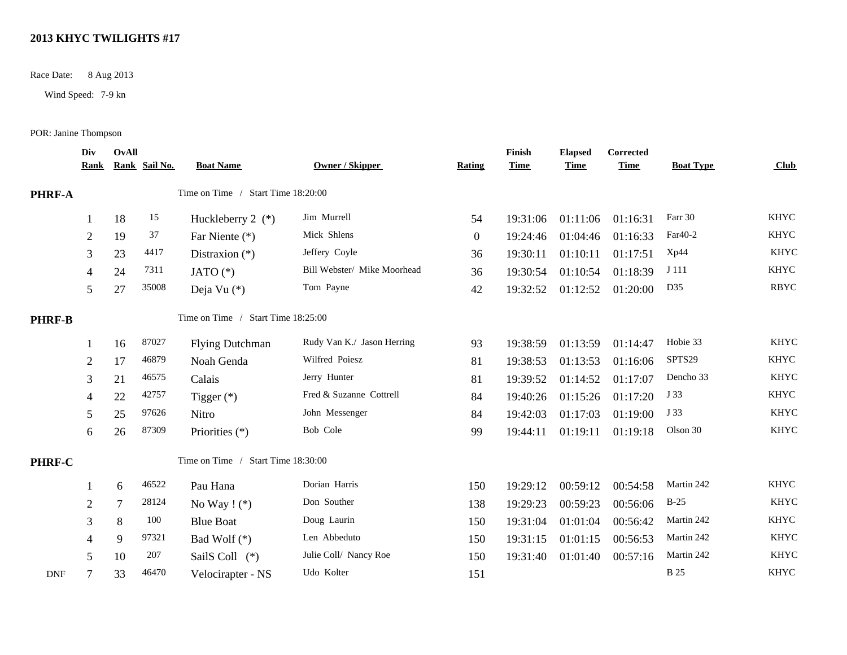## **2013 KHYC TWILIGHTS #17**

Race Date: 8 Aug 2013

Wind Speed: 7-9 kn

POR: Janine Thompson

|               | Div<br><b>Rank</b> | <b>OvAll</b> | Rank Sail No. | <b>Boat Name</b>                   | <b>Owner / Skipper</b>      | Rating           | Finish<br><b>Time</b> | <b>Elapsed</b><br><b>Time</b> | Corrected<br><b>Time</b> | <b>Boat Type</b> | Club        |
|---------------|--------------------|--------------|---------------|------------------------------------|-----------------------------|------------------|-----------------------|-------------------------------|--------------------------|------------------|-------------|
| PHRF-A        |                    |              |               | Time on Time / Start Time 18:20:00 |                             |                  |                       |                               |                          |                  |             |
|               |                    | 18           | 15            | Huckleberry 2 $(*)$                | Jim Murrell                 | 54               | 19:31:06              | 01:11:06                      | 01:16:31                 | Farr 30          | <b>KHYC</b> |
|               | $\mathbf{2}$       | 19           | 37            | Far Niente (*)                     | Mick Shlens                 | $\boldsymbol{0}$ | 19:24:46              | 01:04:46                      | 01:16:33                 | Far40-2          | <b>KHYC</b> |
|               | 3                  | 23           | 4417          | Distraxion $(*)$                   | Jeffery Coyle               | 36               | 19:30:11              | 01:10:11                      | 01:17:51                 | Xp44             | <b>KHYC</b> |
|               | 4                  | 24           | 7311          | JATO $(*)$                         | Bill Webster/ Mike Moorhead | 36               | 19:30:54              | 01:10:54                      | 01:18:39                 | J 111            | <b>KHYC</b> |
|               | 5                  | 27           | 35008         | Deja Vu $(*)$                      | Tom Payne                   | 42               | 19:32:52              | 01:12:52                      | 01:20:00                 | D35              | <b>RBYC</b> |
| <b>PHRF-B</b> |                    |              |               | Time on Time / Start Time 18:25:00 |                             |                  |                       |                               |                          |                  |             |
|               |                    | 16           | 87027         | <b>Flying Dutchman</b>             | Rudy Van K./ Jason Herring  | 93               | 19:38:59              | 01:13:59                      | 01:14:47                 | Hobie 33         | <b>KHYC</b> |
|               | $\overline{2}$     | 17           | 46879         | Noah Genda                         | Wilfred Poiesz              | 81               | 19:38:53              | 01:13:53                      | 01:16:06                 | SPTS29           | <b>KHYC</b> |
|               | 3                  | 21           | 46575         | Calais                             | Jerry Hunter                | 81               | 19:39:52              | 01:14:52                      | 01:17:07                 | Dencho 33        | <b>KHYC</b> |
|               | 4                  | 22           | 42757         | Tigger $(*)$                       | Fred & Suzanne Cottrell     | 84               | 19:40:26              | 01:15:26                      | 01:17:20                 | J 33             | <b>KHYC</b> |
|               | 5                  | 25           | 97626         | Nitro                              | John Messenger              | 84               | 19:42:03              | 01:17:03                      | 01:19:00                 | J 33             | <b>KHYC</b> |
|               | 6                  | 26           | 87309         | Priorities (*)                     | Bob Cole                    | 99               | 19:44:11              | 01:19:11                      | 01:19:18                 | Olson 30         | <b>KHYC</b> |
| <b>PHRF-C</b> |                    |              |               | Time on Time / Start Time 18:30:00 |                             |                  |                       |                               |                          |                  |             |
|               |                    | 6            | 46522         | Pau Hana                           | Dorian Harris               | 150              | 19:29:12              | 00:59:12                      | 00:54:58                 | Martin 242       | <b>KHYC</b> |
|               | 2                  | 7            | 28124         | No Way $! (*)$                     | Don Souther                 | 138              | 19:29:23              | 00:59:23                      | 00:56:06                 | $B-25$           | <b>KHYC</b> |
|               | 3                  | 8            | 100           | <b>Blue Boat</b>                   | Doug Laurin                 | 150              | 19:31:04              | 01:01:04                      | 00:56:42                 | Martin 242       | <b>KHYC</b> |
|               | 4                  | 9            | 97321         | Bad Wolf $(*)$                     | Len Abbeduto                | 150              | 19:31:15              | 01:01:15                      | 00:56:53                 | Martin 242       | <b>KHYC</b> |
|               | 5                  | 10           | 207           | SailS Coll (*)                     | Julie Coll/ Nancy Roe       | 150              | 19:31:40              | 01:01:40                      | 00:57:16                 | Martin 242       | <b>KHYC</b> |
| <b>DNF</b>    | 7                  | 33           | 46470         | Velocirapter - NS                  | Udo Kolter                  | 151              |                       |                               |                          | <b>B</b> 25      | <b>KHYC</b> |
|               |                    |              |               |                                    |                             |                  |                       |                               |                          |                  |             |